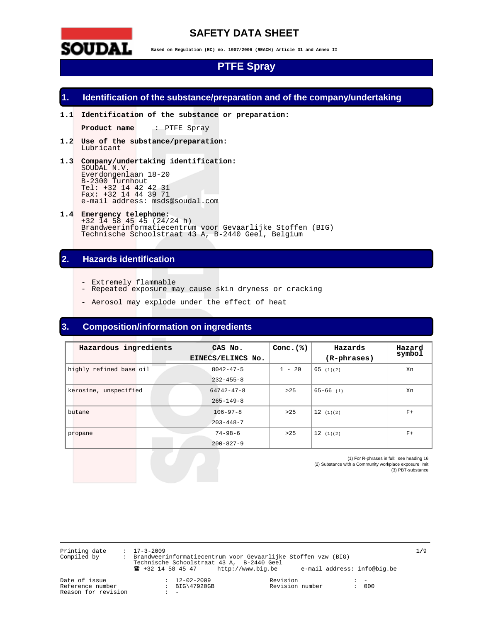

## **SAFETY DATA SHEET**

**Based on Regulation (EC) no. 1907/2006 (REACH) Article 31 and Annex II** 

# **PTFE Spray**

### **1. Identification of the substance/preparation and of the company/undertaking**

**1.1 Identification of the substance or preparation:** 

**Product name :** PTFE Spray

- **1.2 Use of the substance/preparation:**  Lubricant
- **1.3 Company/undertaking identification:**  SOUDAL N.V. Everdongenlaan 18-20 B-2300 Turnhout Tel: +32 14 42 42 31 Fax: +32 14 44 39 71 e-mail address: msds@soudal.com
- **1.4 Emergency telephone:**  +32 14 58 45 45 (24/24 h) Brandweerinformatiecentrum voor Gevaarlijke Stoffen (BIG) Technische Schoolstraat 43 A, B-2440 Geel, Belgium

## **2. Hazards identification**

- Extremely flammable
- Repeated exposure may cause skin dryness or cracking
	- Aerosol may explode under the effect of heat

### **3. Composition/information on ingredients**

| Hazardous ingredients   | CAS No.<br>EINECS/ELINCS No.        | Conc. $(%)$ | Hazards<br>(R-phrases) | Hazard<br>symbol |
|-------------------------|-------------------------------------|-------------|------------------------|------------------|
| highly refined base oil | $8042 - 47 - 5$<br>$232 - 455 - 8$  | $1 - 20$    | 65(1)(2)               | Xn               |
| kerosine, unspecified   | $64742 - 47 - 8$<br>$265 - 149 - 8$ | $>25$       | $65 - 66$ (1)          | Xn               |
| butane                  | $106 - 97 - 8$<br>$203 - 448 - 7$   | $>25$       | 12(1)(2)               | $F+$             |
| propane                 | $74 - 98 - 6$<br>$200 - 827 - 9$    | $>25$       | 12(1)(2)               | $F+$             |

(1) For R-phrases in full: see heading 16 (2) Substance with a Community workplace exposure limit (3) PBT-substance

Printing date : 17-3-2009 1**/**9 Compiled by : Brandweerinformatiecentrum voor Gevaarlijke Stoffen vzw (BIG) Technische Schoolstraat 43 A, B-2440 Geel ! +32 14 58 45 47 http://www.big.be e-mail address: info@big.be

Reason for revision

- -

Date of issue : 12-02-2009 Revision : - : BIG\47920GB Revision number<br>: -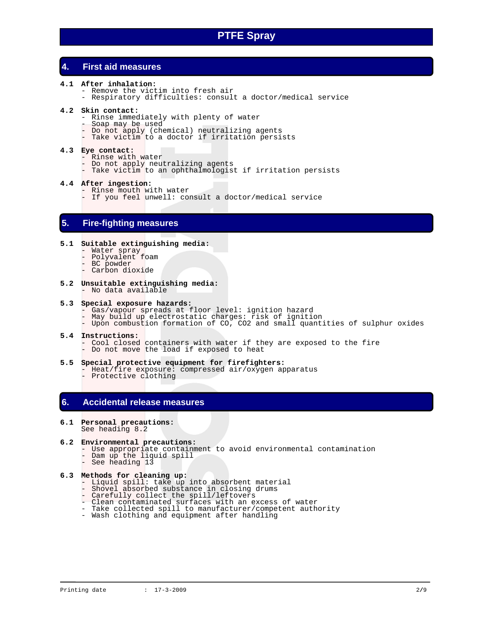## **4. First aid measures**

- **4.1 After inhalation:** 
	- Remove the victim into fresh air
	- Respiratory difficulties: consult a doctor/medical service

#### **4.2 Skin contact:**

- Rinse immediately with plenty of water
- Soap may be used
- Do not apply (chemical) neutralizing agents
- Take victim to a doctor if irritation persists

#### **4.3 Eye contact:**

- Rinse with water
- Do not apply neutralizing agents
- Take victim to an ophthalmologist if irritation persists

#### **4.4 After ingestion:**

- Rinse mouth with water
- If you feel unwell: consult a doctor/medical service

### **5. Fire-fighting measures**

#### **5.1 Suitable extinguishing media:**

- Water spray
- Polyvalent foam
	- BC powder
	- Carbon dioxide
- **5.2 Unsuitable extinguishing media:**  - No data available

### **5.3 Special exposure hazards:**

- Gas/vapour spreads at floor level: ignition hazard
- May build up electrostatic charges: risk of ignition
	- Upon combustion formation of CO, CO2 and small quantities of sulphur oxides

### **5.4 Instructions:**

- Cool closed containers with water if they are exposed to the fire - Do not move the load if exposed to heat
- **5.5 Special protective equipment for firefighters:**
- Heat/fire exposure: compressed air/oxygen apparatus - Protective clothing

### **6. Accidental release measures**

#### **6.1 Personal precautions:**  See heading 8.2

## **6.2 Environmental precautions:**

- Use appropriate containment to avoid environmental contamination
- Dam up the liquid spill
- See heading 13

#### **6.3 Methods for cleaning up:**

- Liquid spill: take up into absorbent material
- Shovel absorbed substance in closing drums
- Carefully collect the spill/leftovers
	- Clean contaminated surfaces with an excess of water
	- Take collected spill to manufacturer/competent authority
	- Wash clothing and equipment after handling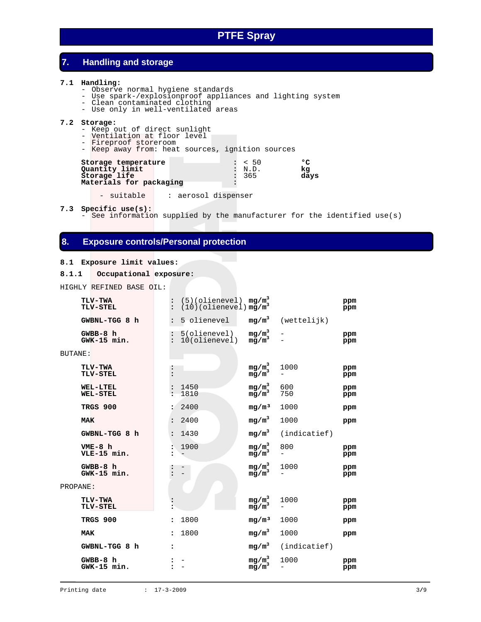### **7. Handling and storage**

### **7.1 Handling:**

- Observe normal hygiene standards
- Use spark-/explosionproof appliances and lighting system
- Clean contaminated clothing
	- Use only in well-ventilated areas

### **7.2 Storage:**

- Keep out of direct sunlight
- Ventilation at floor level
- Fireproof storeroom
- Keep away from: heat sources, ignition sources

| Storage temperature     | : 50        | $\sigma$ |
|-------------------------|-------------|----------|
|                         |             |          |
| Quantity limit          | : N.D.      | kα       |
| Storage life            | $\cdot$ 365 | davs     |
| Materials for packaging |             |          |

- suitable : aerosol dispenser

**7.3 Specific use(s):**

- See information supplied by the manufacturer for the identified use(s)

### **8. Exposure controls/Personal protection**

### **8.1 Exposure limit values:**

```
8.1.1 Occupational exposure:
```
HIGHLY REFINED BASE OIL:

|          | TLV-TWA<br><b>TLV-STEL</b>         |                      | (5)(olienevel) $mg/m^3$<br>(10)(olienevel) $mg/m^3$ | $mg/m^3$                          |              | ppm<br>ppm |
|----------|------------------------------------|----------------------|-----------------------------------------------------|-----------------------------------|--------------|------------|
|          | GWBNL-TGG 8 h                      |                      | 5 olienevel                                         | $mg/m^3$                          | (wettelijk)  |            |
|          | $GWBB-8 h$<br>GWK-15 min.          | $\vdots$             | 5(olienevel)<br>10(olienevel)                       | $mg/m^3$<br>$mg/m^3$              |              | ppm<br>ppm |
| BUTANE:  |                                    |                      |                                                     |                                   |              |            |
|          | <b>TLV-TWA</b><br>TLV-STEL         |                      |                                                     | $mg/m^3$<br>mg/m <sup>3</sup>     | 1000         | ppm<br>ppm |
|          | <b>WEL-LTEL</b><br><b>WEL-STEL</b> |                      | 1450<br>1810                                        | $mg/m^3$<br>mg/m <sup>3</sup>     | 600<br>750   | ppm<br>ppm |
|          | TRGS 900                           |                      | 2400                                                | mq/m <sup>3</sup>                 | 1000         | ppm        |
|          | <b>MAK</b>                         | $\ddot{\phantom{a}}$ | 2400                                                | $mg/m^3$                          | 1000         | ppm        |
|          | GWBNL-TGG 8 h                      | $\ddot{\phantom{a}}$ | 1430                                                | $mg/m^3$                          | (indicatief) |            |
|          | $VME-8$ h<br>VLE-15 min.           | $\ddot{\phantom{a}}$ | 1900                                                | $mg/m^3$<br>mg/m <sup>3</sup>     | 800          | ppm<br>ppm |
|          | $GWBB-8h$<br>$GWK-15 min.$         |                      |                                                     | $\mathtt{mg/m}^3_\mathtt{mg/m}^3$ | 1000         | ppm<br>ppm |
| PROPANE: |                                    |                      |                                                     |                                   |              |            |
|          | <b>TLV-TWA</b><br>TLV-STEL         |                      |                                                     | $mg/m^3$<br>$mg/m^3$              | 1000         | ppm<br>ppm |
|          | TRGS 900                           | $\ddot{\phantom{a}}$ | 1800                                                | mg/m <sup>3</sup>                 | 1000         | ppm        |
|          | MAK                                | $\ddot{\phantom{a}}$ | 1800                                                | $mg/m^3$                          | 1000         | ppm        |
|          | GWBNL-TGG 8 h                      | $\ddot{\phantom{a}}$ |                                                     | $mg/m^3$                          | (indicate)   |            |
|          | $GWBB-8h$<br>$GWK-15$ min.         |                      |                                                     | $mg/m^3$<br>$mg/m^3$              | 1000         | ppm<br>ppm |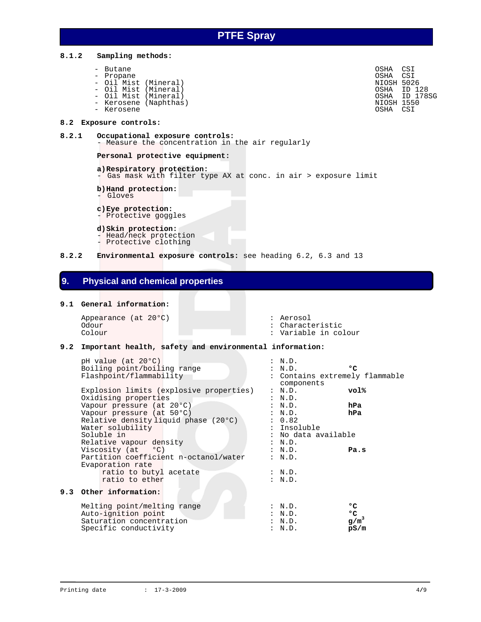### **8.1.2 Sampling methods:**

- Butane
- Propane
- Oil<sup>Mist</sup> (Mineral) - Oil Mist (Mineral)
- 
- Kerosene (Naphthas) NioSh 1550
- Kerosene

### **8.2 Exposure controls:**

#### **8.2.1 Occupational exposure controls:** - Measure the concentration in the air regularly

### **Personal protective equipment:**

### **a) Respiratory protection:**

- Gas mask with filter type AX at conc. in air > exposure limit
	- **b) Hand protection:**
	- Gloves
	- **c) Eye protection:**
	- Protective goggles

### **d) Skin protection:**

- Head/neck protection
- Protective clothing
- **8.2.2 Environmental exposure controls:** see heading 6.2, 6.3 and 13

### **9. Physical and chemical properties**

### **9.1 General information:**

Appearance (at 20°C) : Aerosol : Aerosol : Aerosol : Aerosol : Aerosol : Aerosol : Characte Odour : Characteristic<br>
Colour : Characteristic<br>
Colour : Variable in co

### : Variable in colour

### **9.2 Important health, safety and environmental information:**

| pH value (at 20°C)<br>Boiling point/boiling range               | : N.D.<br>: N.D.                             | $^{\circ}$ |
|-----------------------------------------------------------------|----------------------------------------------|------------|
| Flashpoint/flammability                                         | : Contains extremely flammable<br>components |            |
| Explosion limits (explosive properties)<br>Oxidising properties | : N.D.<br>: N.D.                             | vol%       |
| Vapour pressure (at 20°C)                                       | : N.D.                                       | hPa        |
| Vapour pressure (at 50°C)                                       | : N.D.                                       | hPa        |
| Relative density liquid phase (20°C)                            | : 0.82                                       |            |
| Water solubility                                                | : Insoluble                                  |            |
| Soluble in                                                      | : No data available                          |            |
| Relative vapour density                                         | : N.D.                                       |            |
| Viscosity (at °C)                                               | : N.D.                                       | Pa.s       |
| Partition coefficient n-octanol/water<br>Evaporation rate       | : N.D.                                       |            |
| ratio to butyl acetate                                          | : N.D.                                       |            |
| ratio to ether                                                  | : N.D.                                       |            |
| 9.3 Other information:                                          |                                              |            |
| Melting point/melting range                                     | : N.D.                                       | ۰c         |
| Auto-ignition point                                             | : N.D.                                       | ۰c         |
| Saturation concentration                                        | N.D.                                         | $g/m^3$    |
| Specific conductivity                                           | N.D.                                         | pS/m       |

| – Butane             |                       | OSHA CSI   |               |
|----------------------|-----------------------|------------|---------------|
| - Propane            |                       | OSHA CSI   |               |
| - Oil Mist (Mineral) |                       | NIOSH 5026 |               |
|                      | - Oil Mist (Mineral)  |            | OSHA ID 128   |
| - Oil Mist (Mineral) |                       |            | OSHA ID 178SG |
|                      | - Kerosene (Naphthas) | NIOSH 1550 |               |
| - Kerosene           |                       | OSHA       | CSI           |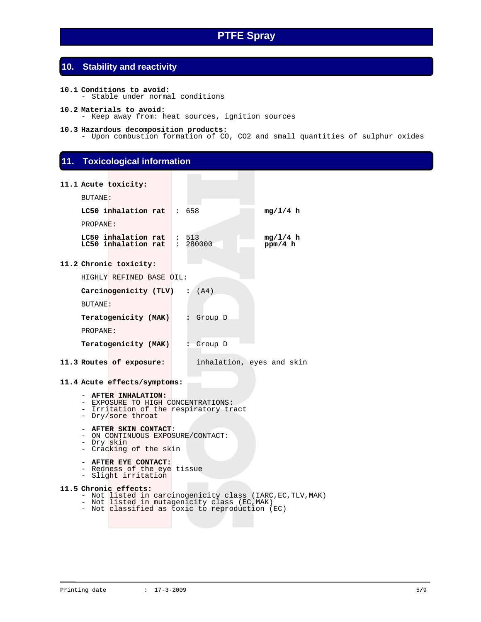## **10. Stability and reactivity**

- **10.1 Conditions to avoid:**  - Stable under normal conditions
- **10.2 Materials to avoid:**  - Keep away from: heat sources, ignition sources

### **10.3 Hazardous decomposition products:**

- Upon combustion formation of CO, CO2 and small quantities of sulphur oxides

### **11. Toxicological information**

|                | 11.1 Acute toxicity:                                      |                                       |                     |
|----------------|-----------------------------------------------------------|---------------------------------------|---------------------|
| <b>BUTANE:</b> |                                                           |                                       |                     |
|                | $LC50$ inhalation rat : 658                               |                                       | mq/1/4 h            |
| PROPANE:       |                                                           |                                       |                     |
|                | $LC50$ inhalation rat : 513<br>LC50 inhalation rat        | : 280000                              | mq/1/4 h<br>ppm/4 h |
|                | 11.2 Chronic toxicity:                                    |                                       |                     |
|                | HIGHLY REFINED BASE OIL:                                  |                                       |                     |
|                | Carcinogenicity (TLV) : $(A4)$                            |                                       |                     |
| <b>BUTANE:</b> |                                                           |                                       |                     |
|                | Teratogenicity (MAK) : Group D                            |                                       |                     |
| PROPANE:       |                                                           |                                       |                     |
|                | <b>Teratogenicity (MAK) :</b> Group D                     |                                       |                     |
|                | 11.3 Routes of exposure:                                  | inhalation, eyes and skin             |                     |
|                | 11.4 Acute effects/symptoms:                              |                                       |                     |
|                | - AFTER INHALATION:<br>- EXPOSURE TO HIGH CONCENTRATIONS: | - Irritation of the respiratory tract |                     |
|                | - Dry/sore throat                                         |                                       |                     |

- **AFTER SKIN CONTACT:**
- ON CONTINUOUS EXPOSURE/CONTACT:
- Dry skin
- Cracking of the skin
- **AFTER EYE CONTACT:**
- Redness of the eye tissue
- Slight irritation

### **11.5 Chronic effects:**

- Not listed in carcinogenicity class (IARC,EC,TLV,MAK)
- Not listed in mutagenicity class (EC,MAK)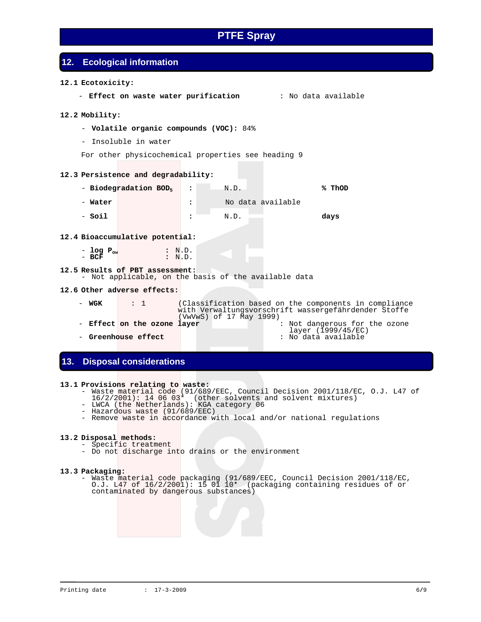### **12. Ecological information**

### **12.1 Ecotoxicity:**

- **Effect on waste water purification** : No data available

### **12.2 Mobility:**

- **Volatile organic compounds (VOC):** 84%
- Insoluble in water
- For other physicochemical properties see heading 9

### **12.3 Persistence and degradability:**

- **Biodegradation BOD5 :** N.D. **% ThOD**  - **Water :** No data available - **Soil :** N.D. **days** 

#### **12.4 Bioaccumulative potential:**

| - log $P_{\alpha w}$ |  | : N.D. |
|----------------------|--|--------|
| $-$ BCF              |  | : N.D. |

### **12.5 Results of PBT assessment:**

- Not applicable, on the basis of the available data

### **12.6 Other adverse effects:**

| – WGK                       | $\therefore$ 1 | (VwVwS) of 17 May 1999) |  |  | (Classification based on the components in compliance<br>with Verwaltungsvorschrift wassergefährdender Stoffe |
|-----------------------------|----------------|-------------------------|--|--|---------------------------------------------------------------------------------------------------------------|
| - Effect on the ozone layer |                |                         |  |  | : Not dangerous for the ozone<br>layer (1999/45/EC)                                                           |
| – Greenhouse effect         |                |                         |  |  | : No data available                                                                                           |

### **13. Disposal considerations**

### **13.1 Provisions relating to waste:**

- Waste material code (91/689/EEC, Council Decision 2001/118/EC, O.J. L47 of
	- 16/2/2001): 14 06 03\* (other solvents and solvent mixtures)
	- LWCA (the Netherlands): KGA category 06
		- Hazardous waste (91/689/EEC)
		- Remove waste in accordance with local and/or national regulations

#### **13.2 Disposal methods:**

- Specific treatment
- Do not discharge into drains or the environment

#### **13.3 Packaging:**

 - Waste material code packaging (91/689/EEC, Council Decision 2001/118/EC, O.J. L47 of 16/2/2001): 15 01 10\* (packaging containing residues of or contaminated by dangerous substances)

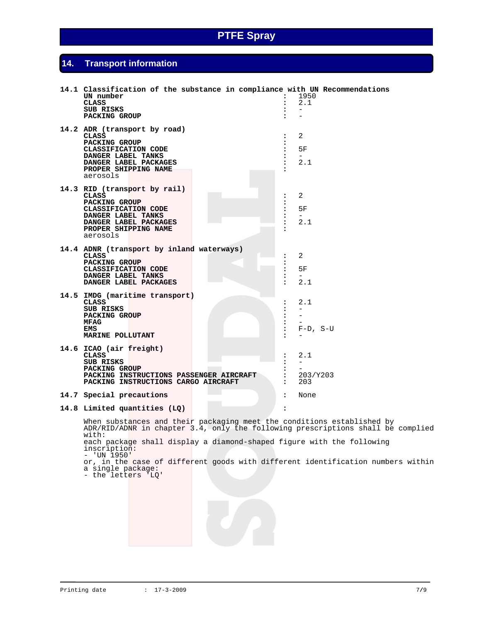## **14. Transport information**

| 14.1 Classification of the substance in compliance with UN Recommendations<br>UN number<br><b>CLASS</b><br>SUB RISKS<br><b>PACKING GROUP</b>                            | $\ddot{\phantom{a}}$                                                    | 1950<br>2.1<br>$\overline{\phantom{0}}$                 |
|-------------------------------------------------------------------------------------------------------------------------------------------------------------------------|-------------------------------------------------------------------------|---------------------------------------------------------|
| 14.2 ADR (transport by road)<br><b>CLASS</b><br>PACKING GROUP<br>CLASSIFICATION CODE<br>DANGER LABEL TANKS<br>DANGER LABEL PACKAGES<br>PROPER SHIPPING NAME<br>aerosols |                                                                         | 2<br>5F<br>2.1                                          |
| 14.3 RID (transport by rail)<br>CLASS<br>PACKING GROUP<br>CLASSIFICATION CODE<br>DANGER LABEL TANKS<br>DANGER LABEL PACKAGES<br>PROPER SHIPPING NAME<br>aerosols        | :<br>:                                                                  | 2<br>5F<br>$\overline{\phantom{0}}$<br>2.1              |
| 14.4 ADNR (transport by inland waterways)<br><b>CLASS</b><br>PACKING GROUP<br>CLASSIFICATION CODE<br>DANGER LABEL TANKS<br>DANGER LABEL PACKAGES                        | $\ddot{\phantom{a}}$<br>$\ddot{\phantom{a}}$<br>$\overline{\mathbf{z}}$ | $\overline{a}$<br>5F<br>$\overline{\phantom{0}}$<br>2.1 |
| 14.5 IMDG (maritime transport)<br><b>CLASS</b><br>SUB RISKS<br><b>PACKING GROUP</b><br>MFAG<br>EMS<br>MARINE POLLUTANT                                                  | :<br>$\overline{\mathbf{z}}$                                            | 2.1<br>$F-D$ , $S-U$                                    |
| 14.6 ICAO (air freight)<br>CLASS<br>SUB RISKS<br><b>PACKING GROUP</b><br>PACKING INSTRUCTIONS PASSENGER AIRCRAFT<br>PACKING INSTRUCTIONS CARGO AIRCRAFT                 |                                                                         | 2.1<br>$\qquad \qquad -$<br>203/Y203<br>203             |
| 14.7 Special precautions                                                                                                                                                | $\ddot{\phantom{a}}$                                                    | None                                                    |
| 14.8 Limited quantities (LQ)                                                                                                                                            | $\ddot{\phantom{a}}$                                                    |                                                         |
| When substances and their packaging meet the conditions established by<br>ADR/RID/ADNR in chapter 3.4, only the following prescriptions shall be complied<br>with:      |                                                                         |                                                         |

each package shall display a diamond-shaped figure with the following inscription: - 'UN 1950'

or, in the case of different goods with different identification numbers within a single package:

- the letters 'LQ'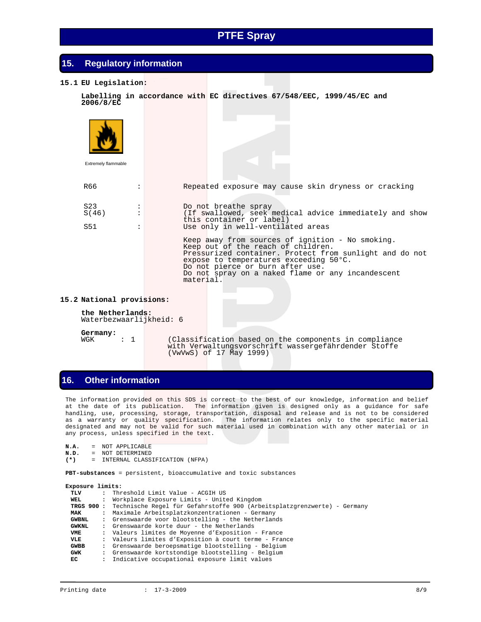# **15.1 EU Legislation: Labelling in accordance with EC directives 67/548/EEC, 1999/45/EC and 2006/8/EC** R66 : Repeated exposure may cause skin dryness or cracking S23 : Do not breathe spray<br>S(46) : (If swallowed, seek m S(46) : (If swallowed, seek medical advice immediately and show this container or label) S51 : Use only in well-ventilated areas Keep away from sources of ignition - No smoking. Keep out of the reach of children. Pressurized container. Protect from sunlight and do not expose to temperatures exceeding 50°C. Do not pierce or burn after use. Do not spray on a naked flame or any incandescent material. **15.2 National provisions: the Netherlands:**  Waterbezwaarlijkheid: 6 **Germany:** : 1 (Classification based on the components in compliance with Verwaltungsvorschrift wassergefährdender Stoffe (VwVwS) of 17 May 1999) Extremely flammable **15. Regulatory information**

## **16. Other information**

 The information provided on this SDS is correct to the best of our knowledge, information and belief at the date of its publication. The information given is designed only as a guidance for safe handling, use, processing, storage, transportation, disposal and release and is not to be considered as a warranty or quality specification. The information relates only to the specific material designated and may not be valid for such material used in combination with any other material or in any process, unless specified in the text.

```
 N.A. = NOT APPLICABLE
```

```
N.D. = NOT DETERMINED
```

```
(*) = INTERNAL CLASSIFICATION (NFPA)
```
 **PBT-substances** = persistent, bioaccumulative and toxic substances

| Exposure limits: |                      |                                                                                     |
|------------------|----------------------|-------------------------------------------------------------------------------------|
| TLV              | $\ddot{\phantom{a}}$ | Threshold Limit Value - ACGIH US                                                    |
| WEL              | $\ddot{\phantom{a}}$ | Workplace Exposure Limits - United Kingdom                                          |
|                  |                      | TRGS 900 : Technische Regel für Gefahrstoffe 900 (Arbeitsplatzgrenzwerte) - Germany |
| <b>MAK</b>       | $\ddot{\phantom{a}}$ | Maximale Arbeitsplatzkonzentrationen - Germany                                      |
| <b>GWBNL</b>     |                      | : Grenswaarde voor blootstelling - the Netherlands                                  |
| <b>GWKNL</b>     |                      | : Grenswaarde korte duur - the Netherlands                                          |
| VME              |                      | : Valeurs limites de Moyenne d'Exposition - France                                  |
| VLE              |                      | : Valeurs limites d'Exposition à court terme - France                               |
| <b>GWBB</b>      | $\ddot{\phantom{a}}$ | Grenswaarde beroepsmatige blootstelling - Belgium                                   |
| GWK              | $\ddot{\phantom{a}}$ | Grenswaarde kortstondige blootstelling - Belgium                                    |
| EC               | $\ddot{\phantom{a}}$ | Indicative occupational exposure limit values                                       |